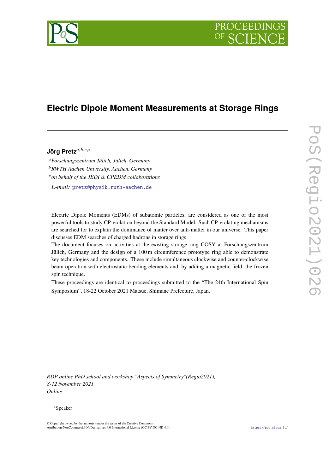

# **Electric Dipole Moment Measurements at Storage Rings**

# Jörg Pretz<sup>a,b,c,∗</sup>

<sup>𝑎</sup>*Forschungszentrum Jülich, Jülich, Germany*

<sup>𝑏</sup>*RWTH Aachen University, Aachen, Germany*

<sup>𝑐</sup>*on behalf of the JEDI & CPEDM collaborations*

*E-mail:* [pretz@physik.rwth-aachen.de](mailto:pretz@physik.rwth-aachen.de)

Electric Dipole Moments (EDMs) of subatomic particles, are considered as one of the most powerful tools to study CP-violation beyond the Standard Model. Such CP-violating mechanisms are searched for to explain the dominance of matter over anti-matter in our universe. This paper discusses EDM searches of charged hadrons in storage rings.

The document focuses on activities at the existing storage ring COSY at Forschungszentrum Jülich, Germany and the design of a 100 m circumference prototype ring able to demonstrate key technologies and components. These include simultaneous clockwise and counter-clockwise beam operation with electrostatic bending elements and, by adding a magnetic field, the frozen spin technique.

These proceedings are identical to proceedings submitted to the "The 24th International Spin Symposium", 18-22 October 2021 Matsue, Shimane Prefecture, Japan.

*RDP online PhD school and workshop "Aspects of Symmetry"(Regio2021), 8-12 November 2021 Online*

#### <sup>∗</sup>Speaker

<sup>©</sup> Copyright owned by the author(s) under the terms of the Creative Commons Attribution-NonCommercial-NoDerivatives 4.0 International License (CC BY-NC-ND 4.0). <https://pos.sissa.it/>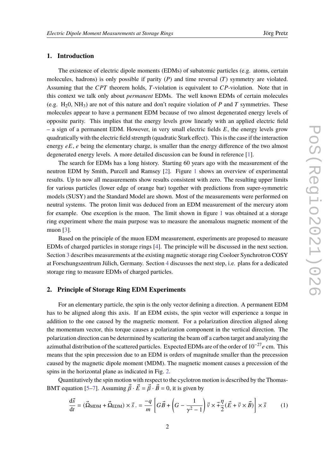# **1. Introduction**

The existence of electric dipole moments (EDMs) of subatomic particles (e.g. atoms, certain molecules, hadrons) is only possible if parity  $(P)$  and time reversal  $(T)$  symmetry are violated. Assuming that the  $CPT$  theorem holds,  $T$ -violation is equivalent to  $CP$ -violation. Note that in this context we talk only about *permanent* EDMs. The well known EDMs of certain molecules (e.g. H<sub>2</sub>0, NH<sub>3</sub>) are not of this nature and don't require violation of P and T symmetries. These molecules appear to have a permanent EDM because of two almost degenerated energy levels of opposite parity. This implies that the energy levels grow linearly with an applied electric field  $-$  a sign of a permanent EDM. However, in very small electric fields  $E$ , the energy levels grow quadratically with the electric field strength (quadratic Stark effect). This is the case if the interaction energy  $eE$ , e being the elementary charge, is smaller than the energy difference of the two almost degenerated energy levels. A more detailed discussion can be found in reference [\[1\]](#page-8-0).

The search for EDMs has a long history. Starting 60 years ago with the measurement of the neutron EDM by Smith, Purcell and Ramsey [\[2\]](#page-8-1). Figure [1](#page-2-0) shows an overview of experimental results. Up to now all measurements show results consistent with zero. The resulting upper limits for various particles (lower edge of orange bar) together with predictions from super-symmetric models (SUSY) and the Standard Model are shown. Most of the measurements were performed on neutral systems. The proton limit was deduced from an EDM measurement of the mercury atom for example. One exception is the muon. The limit shown in figure [1](#page-2-0) was obtained at a storage ring experiment where the main purpose was to measure the anomalous magnetic moment of the muon [\[3\]](#page-8-2).

Based on the principle of the muon EDM measurement, experiments are proposed to measure EDMs of charged particles in storage rings [\[4\]](#page-8-3). The principle will be discussed in the next section. Section [3](#page-3-0) describes measurements at the existing magnetic storage ring Cooloer Synchrotron COSY at Forschungszentrum Jülich, Germany. Section [4](#page-7-0) discusses the next step, i.e. plans for a dedicated storage ring to measure EDMs of charged particles.

#### **2. Principle of Storage Ring EDM Experiments**

For an elementary particle, the spin is the only vector defining a direction. A permanent EDM has to be aligned along this axis. If an EDM exists, the spin vector will experience a torque in addition to the one caused by the magnetic moment. For a polarization direction aligned along the momentum vector, this torque causes a polarization component in the vertical direction. The polarization direction can be determined by scattering the beam off a carbon target and analyzing the azimuthal distribution of the scattered particles. Expected EDMs are of the order of  $10^{-27}$ e cm. This means that the spin precession due to an EDM is orders of magnitude smaller than the precession caused by the magnetic dipole moment (MDM). The magnetic moment causes a precession of the spins in the horizontal plane as indicated in Fig. [2.](#page-3-1)

Quantitatively the spin motion with respect to the cyclotron motion is described by the Thomas-BMT equation [\[5](#page-8-4)[–7\]](#page-8-5). Assuming  $\vec{\beta} \cdot \vec{E} = \vec{\beta} \cdot \vec{B} = 0$ , it is given by

<span id="page-1-0"></span>
$$
\frac{\mathrm{d}\vec{s}}{\mathrm{d}t} = (\vec{\Omega}_{\text{MDM}} + \vec{\Omega}_{\text{EDM}}) \times \vec{s} = -\frac{q}{m} \left[ G\vec{B} + \left( G - \frac{1}{\gamma^2 - 1} \right) \vec{v} \times \vec{+} \frac{\eta}{2} (\vec{E} + \vec{v} \times \vec{B}) \right] \times \vec{s} \tag{1}
$$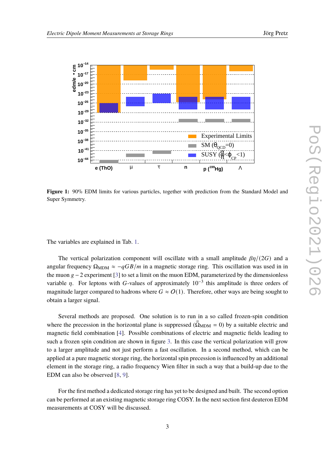<span id="page-2-0"></span>

**Figure 1:** 90% EDM limits for various particles, together with prediction from the Standard Model and Super Symmetry.

The variables are explained in Tab. [1.](#page-3-2)

The vertical polarization component will oscillate with a small amplitude  $\beta\eta/(2G)$  and a angular frequency  $\Omega_{\text{MDM}} \approx -qGB/m$  in a magnetic storage ring. This oscillation was used in in the muon  $g - 2$  experiment [\[3\]](#page-8-2) to set a limit on the muon EDM, parameterized by the dimensionless variable  $\eta$ . For leptons with G-values of approximately  $10^{-3}$  this amplitude is three orders of magnitude larger compared to hadrons where  $G \approx O(1)$ . Therefore, other ways are being sought to obtain a larger signal.

Several methods are proposed. One solution is to run in a so called frozen-spin condition where the precession in the horizontal plane is suppressed ( $\dot{\Omega}_{MDM} = 0$ ) by a suitable electric and magnetic field combination [\[4\]](#page-8-3). Possible combinations of electric and magnetic fields leading to such a frozen spin condition are shown in figure [3.](#page-4-0) In this case the vertical polarization will grow to a larger amplitude and not just perform a fast oscillation. In a second method, which can be applied at a pure magnetic storage ring, the horizontal spin precession is influenced by an additional element in the storage ring, a radio frequency Wien filter in such a way that a build-up due to the EDM can also be observed [\[8,](#page-8-6) [9\]](#page-8-7).

For the first method a dedicated storage ring has yet to be designed and built. The second option can be performed at an existing magnetic storage ring COSY. In the next section first deuteron EDM measurements at COSY will be discussed.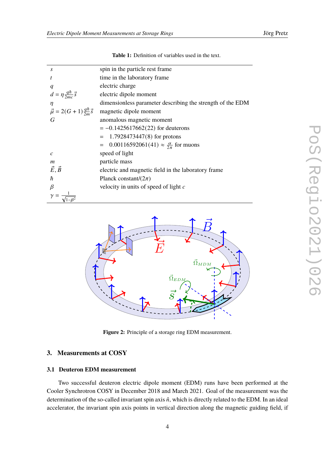<span id="page-3-2"></span>

| S                                            | spin in the particle rest frame                             |
|----------------------------------------------|-------------------------------------------------------------|
| t                                            | time in the laboratory frame                                |
| q                                            | electric charge                                             |
| $d = \eta \frac{q\hbar}{2mc} \vec{s}$        | electric dipole moment                                      |
| $\eta$                                       | dimensionless parameter describing the strength of the EDM  |
| $\vec{\mu} = 2(G+1)\frac{q\hbar}{2m}\vec{s}$ | magnetic dipole moment                                      |
| G                                            | anomalous magnetic moment                                   |
|                                              | $= -0.1425617662(22)$ for deuterons                         |
|                                              | 1.7928473447 $(8)$ for protons                              |
|                                              | $= 0.00116592061(41) \approx \frac{\alpha}{2\pi}$ for muons |
| $\mathcal{C}$                                | speed of light                                              |
| m                                            | particle mass                                               |
| $\vec{E}, \vec{B}$                           | electric and magnetic field in the laboratory frame         |
| ħ                                            | Planck constant/ $(2\pi)$                                   |
| $\beta$                                      | velocity in units of speed of light $c$                     |
|                                              |                                                             |

**Table 1:** Definition of variables used in the text.

<span id="page-3-1"></span>

**Figure 2:** Principle of a storage ring EDM measurement.

# <span id="page-3-0"></span>**3. Measurements at COSY**

### **3.1 Deuteron EDM measurement**

Two successful deuteron electric dipole moment (EDM) runs have been performed at the Cooler Synchrotron COSY in December 2018 and March 2021. Goal of the measurement was the determination of the so-called invariant spin axis  $\hat{n}$ , which is directly related to the EDM. In an ideal accelerator, the invariant spin axis points in vertical direction along the magnetic guiding field, if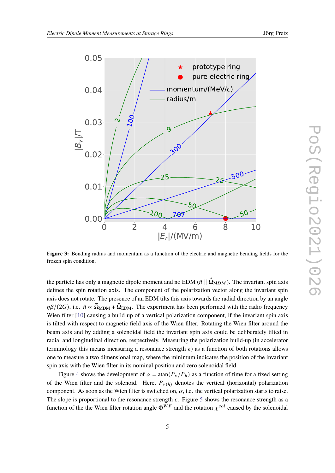

<span id="page-4-0"></span>

**Figure 3:** Bending radius and momentum as a function of the electric and magnetic bending fields for the frozen spin condition.

the particle has only a magnetic dipole moment and no EDM ( $\hat{n} \parallel \vec{\Omega}_{MDM}$ ). The invariant spin axis defines the spin rotation axis. The component of the polarization vector along the invariant spin axis does not rotate. The presence of an EDM tilts this axis towards the radial direction by an angle  $\eta\beta/(2G)$ , i.e.  $\hat{n} \propto \vec{\Omega}_{\text{MDM}} + \vec{\Omega}_{\text{EDM}}$ . The experiment has been performed with the radio frequency Wien filter [\[10\]](#page-8-8) causing a build-up of a vertical polarization component, if the invariant spin axis is tilted with respect to magnetic field axis of the Wien filter. Rotating the Wien filter around the beam axis and by adding a solenoidal field the invariant spin axis could be deliberately tilted in radial and longitudinal direction, respectively. Measuring the polarization build-up (in accelerator terminology this means measuring a resonance strength  $\epsilon$ ) as a function of both rotations allows one to measure a two dimensional map, where the minimum indicates the position of the invariant spin axis with the Wien filter in its nominal position and zero solenoidal field.

Figure [4](#page-5-0) shows the development of  $\alpha = \tan(P_v/P_h)$  as a function of time for a fixed setting of the Wien filter and the solenoid. Here,  $P_{v(h)}$  denotes the vertical (horizontal) polarization component. As soon as the Wien filter is switched on,  $\alpha$ , i.e. the vertical polarization starts to raise. The slope is proportional to the resonance strength  $\epsilon$ . Figure [5](#page-6-0) shows the resonance strength as a function of the the Wien filter rotation angle  $\Phi^{WF}$  and the rotation  $\chi^{sol}$  caused by the solenoidal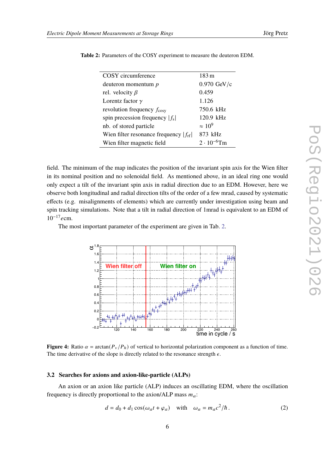| COSY circumference                                | 183 m                 |
|---------------------------------------------------|-----------------------|
| deuteron momentum $p$                             | $0.970 \text{ GeV/c}$ |
| rel. velocity $\beta$                             | 0.459                 |
| Lorentz factor $\gamma$                           | 1.126                 |
| revolution frequency $f_{\text{cosy}}$            | 750.6 kHz             |
| spin precession frequency $ f_s $                 | 120.9 kHz             |
| nb. of stored particle                            | $\approx 10^9$        |
| Wien filter resonance frequency $ f_{\text{rf}} $ | 873 kHz               |
| Wien filter magnetic field                        | $2 \cdot 10^{-6}$ Tm  |

<span id="page-5-1"></span>**Table 2:** Parameters of the COSY experiment to measure the deuteron EDM.

field. The minimum of the map indicates the position of the invariant spin axis for the Wien filter in its nominal position and no solenoidal field. As mentioned above, in an ideal ring one would only expect a tilt of the invariant spin axis in radial direction due to an EDM. However, here we observe both longitudinal and radial direction tilts of the order of a few mrad, caused by systematic effects (e.g. misalignments of elements) which are currently under investigation using beam and spin tracking simulations. Note that a tilt in radial direction of 1mrad is equivalent to an EDM of  $10^{-17}$ ecm.

<span id="page-5-0"></span>The most important parameter of the experiment are given in Tab. [2.](#page-5-1)



**Figure 4:** Ratio  $\alpha = \arctan(P_v/P_h)$  of vertical to horizontal polarization component as a function of time. The time derivative of the slope is directly related to the resonance strength  $\epsilon$ .

#### **3.2 Searches for axions and axion-like-particle (ALPs)**

An axion or an axion like particle (ALP) induces an oscillating EDM, where the oscillation frequency is directly proportional to the axion/ALP mass  $m_a$ :

<span id="page-5-2"></span>
$$
d = d_0 + d_1 \cos(\omega_a t + \varphi_a) \quad \text{with} \quad \omega_a = m_a c^2 / \hbar \,. \tag{2}
$$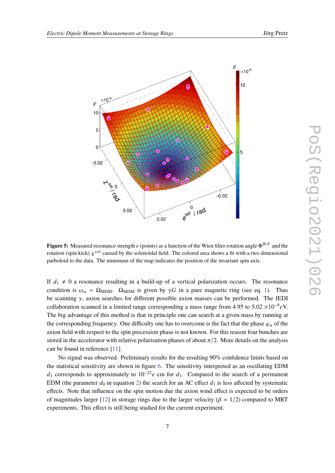<span id="page-6-0"></span>

**Figure 5:** Measured resonance strength  $\epsilon$  (points) as a function of the Wien filter rotation angle  $\Phi^{WF}$  and the rotation (spin kick)  $\chi^{sol}$  caused by the solenoidal field. The colored area shows a fit with a two dimensional parboloid to the data. The minimum of the map indicates the position of the invariant spin axis.

If  $d_1 \neq 0$  a resonance resulting in a build-up of a vertical polarization occurs. The resonance condition is  $\omega_a = \Omega_{\text{MDM}}$ .  $\Omega_{\text{MDM}}$  is given by  $\gamma G$  in a pure magnetic ring (see eq. [1\)](#page-1-0). Thus be scanning  $\gamma$ , axion searches for different possible axion masses can be performed. The JEDI collaboration scanned in a limited range corresponding a mass range from 4.95 to 5.02  $\times 10^{-9} eV$ . The big advantage of this method is that in principle one can search at a given mass by running at the corresponding frequency. One difficulty one has to overcome is the fact that the phase  $\varphi_a$  of the axion field with respect to the spin precession phase is not known. For this reason four bunches are stored in the accelerator with relative polarisation phases of about  $\pi/2$ . More details on the analysis can be found in reference [\[11\]](#page-9-0).

No signal was observed. Preliminary results for the resulting 90% confidence limits based on the statistical sensitivity are shown in figure [6.](#page-7-1) The sensitivity interpreted as an oscillating EDM  $d_1$  corresponds to approximately to 10<sup>-22</sup>e cm for  $d_1$ . Compared to the search of a permanent EDM (the parameter  $d_0$  in equation [2\)](#page-5-2) the search for an AC effect  $d_1$  is less affected by systematic effects. Note that influence on the spin motion due the axion wind effect is expected to be orders of magnitudes larger [\[12\]](#page-9-1) in storage rings due to the larger velocity ( $\beta \approx 1/2$ ) compared to MRT experiments. This effect is still being studied for the current experiment.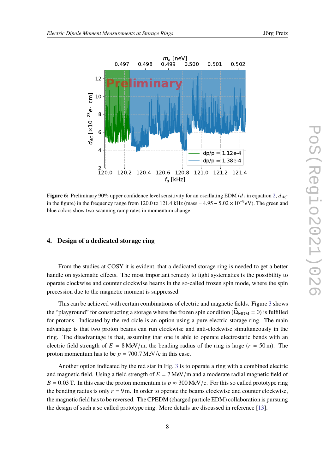<span id="page-7-1"></span>

**Figure 6:** Preliminary 90% upper confidence level sensitivity for an oscillating EDM  $(d_1$  in equation [2,](#page-5-2)  $d_{AC}$ in the figure) in the frequency range from 120.0 to 121.4 kHz (mass =  $4.95 - 5.02 \times 10^{-9} eV$ ). The green and blue colors show two scanning ramp rates in momentum change.

#### <span id="page-7-0"></span>**4. Design of a dedicated storage ring**

From the studies at COSY it is evident, that a dedicated storage ring is needed to get a better handle on systematic effects. The most important remedy to fight systematics is the possibility to operate clockwise and counter clockwise beams in the so-called frozen spin mode, where the spin precession due to the magnetic moment is suppressed.

This can be achieved with certain combinations of electric and magnetic fields. Figure [3](#page-4-0) shows the "playground" for constructing a storage where the frozen spin condition ( $\Omega_{\text{MDM}} = 0$ ) is fulfilled for protons. Indicated by the red cicle is an option using a pure electric storage ring. The main advantage is that two proton beams can run clockwise and anti-clockwise simultaneously in the ring. The disadvantage is that, assuming that one is able to operate electrostatic bends with an electric field strength of  $E = 8$  MeV/m, the bending radius of the ring is large ( $r = 50$  m). The proton momentum has to be  $p = 700.7$  MeV/c in this case.

Another option indicated by the red star in Fig. [3](#page-4-0) is to operate a ring with a combined electric and magnetic field. Using a field strength of  $E = 7$  MeV/m and a moderate radial magnetic field of  $B = 0.03$  T. In this case the proton momentum is  $p \approx 300$  MeV/c. For this so called prototype ring the bending radius is only  $r = 9$  m. In order to operate the beams clockwise and counter clockwise, the magnetic field has to be reversed. The CPEDM (charged particle EDM) collaboration is pursuing the design of such a so called prototype ring. More details are discussed in reference [\[13\]](#page-9-2).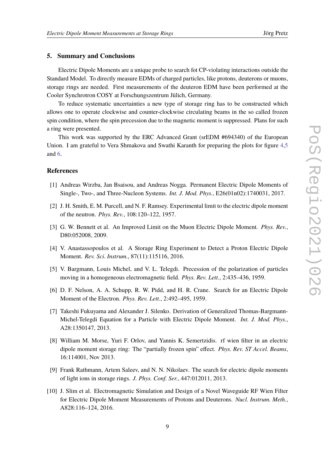### **5. Summary and Conclusions**

Electric Dipole Moments are a unique probe to search fot CP-violating interactions outside the Standard Model. To directly measure EDMs of charged particles, like protons, deuterons or muons, storage rings are needed. First measurements of the deuteron EDM have been performed at the Cooler Synchrotron COSY at Forschungszentrum Jülich, Germany.

To reduce systematic uncertainties a new type of storage ring has to be constructed which allows one to operate clockwise and counter-clockwise circulating beams in the so called frozen spin condition, where the spin precession due to the magnetic moment is suppressed. Plans for such a ring were presented.

This work was supported by the ERC Advanced Grant (srEDM #694340) of the European Union. I am grateful to Vera Shmakova and Swathi Karanth for preparing the plots for figure [4](#page-5-0)[,5](#page-6-0) and [6.](#page-7-1)

## **References**

- <span id="page-8-0"></span>[1] Andreas Wirzba, Jan Bsaisou, and Andreas Nogga. Permanent Electric Dipole Moments of Single-, Two-, and Three-Nucleon Systems. *Int. J. Mod. Phys.*, E26(01n02):1740031, 2017.
- <span id="page-8-1"></span>[2] J. H. Smith, E. M. Purcell, and N. F. Ramsey. Experimental limit to the electric dipole moment of the neutron. *Phys. Rev.*, 108:120–122, 1957.
- <span id="page-8-2"></span>[3] G. W. Bennett et al. An Improved Limit on the Muon Electric Dipole Moment. *Phys. Rev.*, D80:052008, 2009.
- <span id="page-8-3"></span>[4] V. Anastassopoulos et al. A Storage Ring Experiment to Detect a Proton Electric Dipole Moment. *Rev. Sci. Instrum.*, 87(11):115116, 2016.
- <span id="page-8-4"></span>[5] V. Bargmann, Louis Michel, and V. L. Telegdi. Precession of the polarization of particles moving in a homogeneous electromagnetic field. *Phys. Rev. Lett.*, 2:435–436, 1959.
- [6] D. F. Nelson, A. A. Schupp, R. W. Pidd, and H. R. Crane. Search for an Electric Dipole Moment of the Electron. *Phys. Rev. Lett.*, 2:492–495, 1959.
- <span id="page-8-5"></span>[7] Takeshi Fukuyama and Alexander J. Silenko. Derivation of Generalized Thomas-Bargmann-Michel-Telegdi Equation for a Particle with Electric Dipole Moment. *Int. J. Mod. Phys.*, A28:1350147, 2013.
- <span id="page-8-6"></span>[8] William M. Morse, Yuri F. Orlov, and Yannis K. Semertzidis. rf wien filter in an electric dipole moment storage ring: The "partially frozen spin" effect. *Phys. Rev. ST Accel. Beams*, 16:114001, Nov 2013.
- <span id="page-8-7"></span>[9] Frank Rathmann, Artem Saleev, and N. N. Nikolaev. The search for electric dipole moments of light ions in storage rings. *J. Phys. Conf. Ser.*, 447:012011, 2013.
- <span id="page-8-8"></span>[10] J. Slim et al. Electromagnetic Simulation and Design of a Novel Waveguide RF Wien Filter for Electric Dipole Moment Measurements of Protons and Deuterons. *Nucl. Instrum. Meth.*, A828:116–124, 2016.